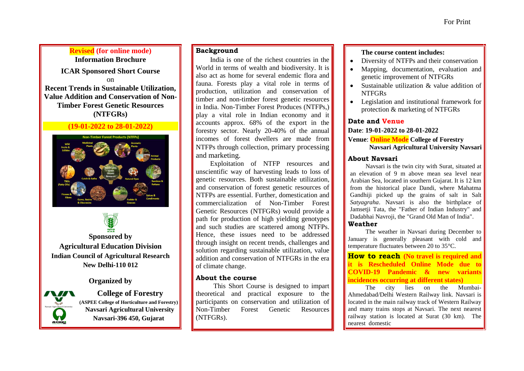## **Revised (for online mode)**

**Information Brochure ICAR Sponsored Short Course** on

**Recent Trends in Sustainable Utilization, Value Addition and Conservation of Non-Timber Forest Genetic Resources (NTFGRs)**

#### **(19-01-2022 to 28-01-2022)**





**Sponsored by Agricultural Education Division Indian Council of Agricultural Research New Delhi-110 012**

**Organized by**

Navsari Agricultural University

**College of Forestry (ASPEE College of Horticulture and Forestry) Navsari Agricultural University Navsari-396 450, Gujarat**

### **Background**

India is one of the richest countries in the World in terms of wealth and biodiversity. It is also act as home for several endemic flora and fauna. Forests play a vital role in terms of production, utilization and conservation of timber and non-timber forest genetic resources in India. Non-Timber Forest Produces (NTFPs,) play a vital role in Indian economy and it accounts approx. 68% of the export in the forestry sector. Nearly 20-40% of the annual incomes of forest dwellers are made from NTFPs through collection, primary processing and marketing.

Exploitation of NTFP resources and unscientific way of harvesting leads to loss of genetic resources. Both sustainable utilization, and conservation of forest genetic resources of NTFPs are essential. Further, domestication and commercialization of Non-Timber Forest Genetic Resources (NTFGRs) would provide a path for production of high yielding genotypes and such studies are scattered among NTFPs. Hence, these issues need to be addressed through insight on recent trends, challenges and solution regarding sustainable utilization, value addition and conservation of NTFGRs in the era of climate change.

#### **About the course**

This Short Course is designed to impart theoretical and practical exposure to the participants on conservation and utilization of Non-Timber Forest Genetic Resources (NTFGRs).

#### **The course content includes:**

- Diversity of NTFPs and their conservation
- Mapping, documentation, evaluation and genetic improvement of NTFGRs
- Sustainable utilization & value addition of NTFGRs
- Legislation and institutional framework for protection & marketing of NTFGRs

#### **Date and Venue**

**Date**: **19-01-2022 to 28-01-2022**

**Venue**: **Online Mode College of Forestry Navsari Agricultural University Navsari**

#### **About Navsari**

Navsari is the twin city with Surat, situated at an elevation of 9 m above mean sea level near Arabian Sea, located in southern Gujarat. It is 12 km from the historical place Dandi, where Mahatma Gandhiji picked up the grains of salt in Salt *Satyagraha*. Navsari is also the birthplace of Jamsetji Tata, the "Father of Indian Industry" and Dadabhai Navroji, the "Grand Old Man of India". **Weather** 

The weather in Navsari during December to January is generally pleasant with cold and temperature fluctuates between 20 to 35°C.

**How to reach (No travel is required and it is Rescheduled Online Mode due to COVID-19 Pandemic & new variants incidences occurring at different states)**

The city lies on the Mumbai-Ahmedabad/Delhi Western Railway link. Navsari is located in the main railway track of Western Railway and many trains stops at Navsari. The next nearest railway station is located at Surat (30 km). The nearest domestic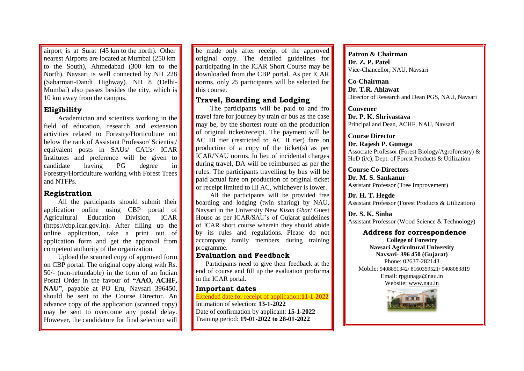airport is at Surat (45 km to the north). Other nearest Airports are located at Mumbai (250 km to the South), Ahmedabad (300 km to the North). Navsari is well connected by NH 228 (Sabarmati-Dandi Highway). NH 8 (Delhi-Mumbai) also passes besides the city, which is 10 km away from the campus.

#### **Eligibility**

Academician and scientists working in the field of education, research and extension activities related to Forestry/Horticulture not below the rank of Assistant Professor/ Scientist/ equivalent posts in SAUs/ CAUs/ ICAR Institutes and preference will be given to candidate having PG degree in Forestry/Horticulture working with Forest Trees and NTFPs.

#### **Registration**

All the participants should submit their application online using CBP portal of Agricultural Education Division, ICAR (https://cbp.icar.gov.in). After filling up the online application, take a print out of application form and get the approval from competent authority of the organization.

Upload the scanned copy of approved form on CBP portal. The original copy along with Rs. 50/- (non-refundable) in the form of an Indian Postal Order in the favour of **"AAO, ACHF, NAU"**, payable at PO Eru, Navsari 396450, should be sent to the Course Director. An advance copy of the application (scanned copy) may be sent to overcome any postal delay. However, the candidature for final selection will

be made only after receipt of the approved original copy. The detailed guidelines for participating in the ICAR Short Course may be downloaded from the CBP portal. As per ICAR norms, only 25 participants will be selected for this course.

### **Travel, Boarding and Lodging**

The participants will be paid to and fro travel fare for journey by train or bus as the case may be, by the shortest route on the production of original ticket/receipt. The payment will be AC III tier (restricted to AC II tier) fare on production of a copy of the ticket(s) as per ICAR/NAU norms. In lieu of incidental charges during travel, DA will be reimbursed as per the rules. The participants travelling by bus will be paid actual fare on production of original ticket or receipt limited to III AC, whichever is lower.

All the participants will be provided free boarding and lodging (twin sharing) by NAU, Navsari in the University New *Kisan Ghar*/ Guest House as per ICAR/SAU's of Gujarat guidelines of ICAR short course wherein they should abide by its rules and regulations. Please do not accompany family members during training programme.

#### **Evaluation and Feedback**

Participants need to give their feedback at the end of course and fill up the evaluation proforma in the ICAR portal.

#### **Important dates**

Extended date for receipt of application:**11-1-2022** Intimation of selection: **13-1-2022** Date of confirmation by applicant: **15-1-2022** Training period: **19-01-2022 to 28-01-2022**

**Patron & Chairman Dr. Z. P. Patel** Vice-Chancellor, NAU, Navsari

**Co-Chairman Dr. T.R. Ahlawat** Director of Research and Dean PGS, NAU, Navsari

**Convener Dr. P. K. Shrivastava** Principal and Dean, ACHF, NAU, Navsari

**Course Director Dr. Rajesh P. Gunaga** Associate Professor (Forest Biology/Agroforestry) & HoD (i/c), Dept. of Forest Products & Utilization

**Course Co-Directors Dr. M. S. Sankanur** Assistant Professor (Tree Improvement)

**Dr. H. T. Hegde** Assistant Professor (Forest Products & Utilization)

**Dr. S. K. Sinha** Assistant Professor (Wood Science & Technology)

**Address for correspondence College of Forestry Navsari Agricultural University Navsari- 396 450 (Gujarat)** Phone: 02637-282143 Mobile: 9408851342/ 8160359521/ 9408083819 Email: [rpgunaga@nau.in](mailto:rpgunaga@nau.in) Website: [www.nau.in](http://www.nau.in/)

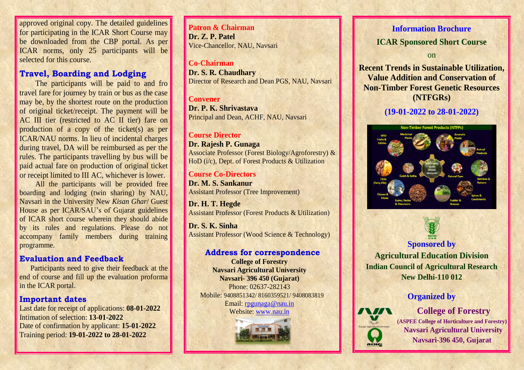approved original copy. The detailed guidelines for participating in the ICAR Short Course may be downloaded from the CBP portal. As per ICAR norms, only 25 participants will be selected for this course.

## **Travel, Boarding and Lodging**

 The participants will be paid to and fro travel fare for journey by train or bus as the case may be, by the shortest route on the production of original ticket/receipt. The payment will be AC III tier (restricted to AC II tier) fare on production of a copy of the ticket(s) as per ICAR/NAU norms. In lieu of incidental charges during travel, DA will be reimbursed as per the rules. The participants travelling by bus will be paid actual fare on production of original ticketor receipt limited to III AC, whichever is lower.

All the participants will be provided free boarding and lodging (twin sharing) by NAU, Navsari in the University New *Kisan Ghar*/ Guest House as per ICAR/SAU's of Gujarat guidelines of ICAR short course wherein they should abide by its rules and regulations. Please do not accompany family members during training programme.

## **Evaluation and Feedback**

Participants need to give their feedback at the end of course and fill up the evaluation proforma in the ICAR portal.

### **Important dates**

 Last date for receipt of applications: **08-01-2022**Intimation of selection: **13-01-2022** Date of confirmation by applicant: **15-01-2022**Training period: **19-01-2022 to 28-01-20 22**

**Patron& Chairman Dr. Z.P. Patel**Vice-Chancellor, NAU, Navsari

**Co-Chairman Dr. S. R. Chaudhary**Director of Research and Dean PGS, NAU, Navsari

#### **Convener**

 **Dr. P. K. Shrivastava**Principal and Dean, ACHF, NAU, Navsari

### **Course Director**

 **Dr. Rajesh P. Gunaga** Associate Professor (Forest Biology/Agroforestry) & HoD (i/c), Dept. of Forest Products & Utilization

#### **Course Co-Directors**

 **Dr.M. S. Sankanur**Assistant Professor (Tree Improvement)

**Dr. H. T. Hegde**Assistant Professor (Forest Products & Utilization)

**Dr. S. K. Sinha**Assistant Professor (Wood Science & Technology)

### **Address for correspondence**

**College of Forestry Navsari Agricultural UniversityNavsari- 396 450 (Gujarat)** Phone: 02637-282143 Mobile: 9408851342/ 8160359521/ 9408083819Email: rpgunaga@nau.in

Website: www.nau.in



### **Information Brochure**

**ICAR Sponsored Short Course**

on

**Recent Trends in Sustainable Utilization, Value Addition and Conservation of Non-Timber Forest Genetic Resources (NTFGRs)**

# **(19-01-2022 to 28-0 1-2022)**





 **Agricultural Education Division Indian Council of Agricultural ResearchNew Delhi-110 012**

## **Organized by**



**College of Forestry (ASPEE College of Horticulture and Forestry)Navsari Agricultural UniversityNavsari-396 450, Gujarat**